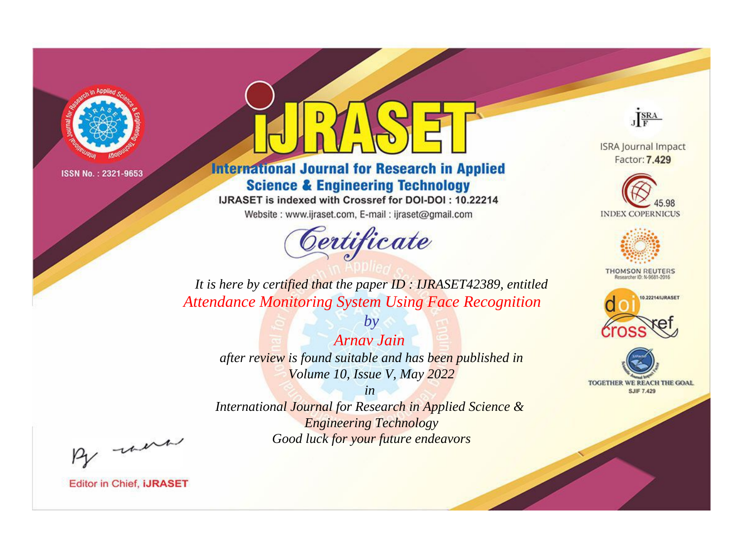

# **International Journal for Research in Applied Science & Engineering Technology**

IJRASET is indexed with Crossref for DOI-DOI: 10.22214

Website: www.ijraset.com, E-mail: ijraset@gmail.com



JERA

**ISRA Journal Impact** Factor: 7.429





**THOMSON REUTERS** 



TOGETHER WE REACH THE GOAL **SJIF 7.429** 

*It is here by certified that the paper ID : IJRASET42389, entitled Attendance Monitoring System Using Face Recognition*

*Arnav Jain after review is found suitable and has been published in Volume 10, Issue V, May 2022*

*by*

*in* 

*International Journal for Research in Applied Science & Engineering Technology Good luck for your future endeavors*

By morn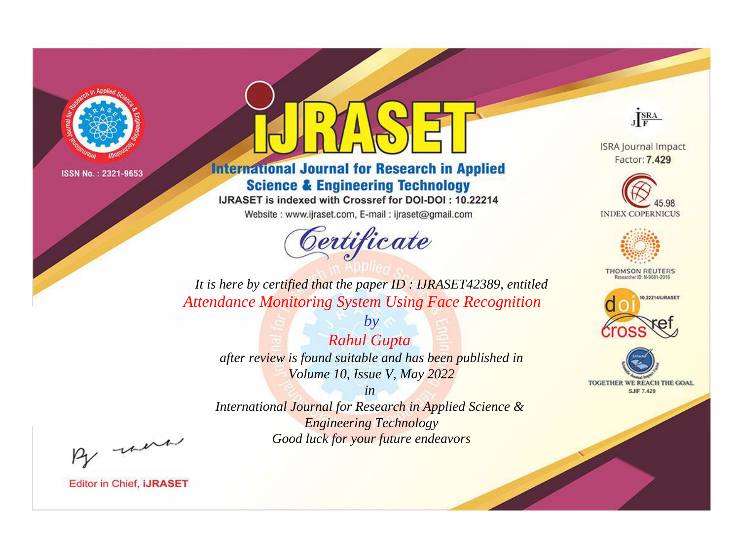

# **International Journal for Research in Applied Science & Engineering Technology**

IJRASET is indexed with Crossref for DOI-DOI: 10.22214

Website: www.ijraset.com, E-mail: ijraset@gmail.com



JERA

**ISRA Journal Impact** Factor: 7.429





**THOMSON REUTERS** 



TOGETHER WE REACH THE GOAL **SJIF 7.429** 

*It is here by certified that the paper ID : IJRASET42389, entitled Attendance Monitoring System Using Face Recognition*

*Rahul Gupta after review is found suitable and has been published in Volume 10, Issue V, May 2022*

*by*

*in* 

*International Journal for Research in Applied Science & Engineering Technology Good luck for your future endeavors*

By morn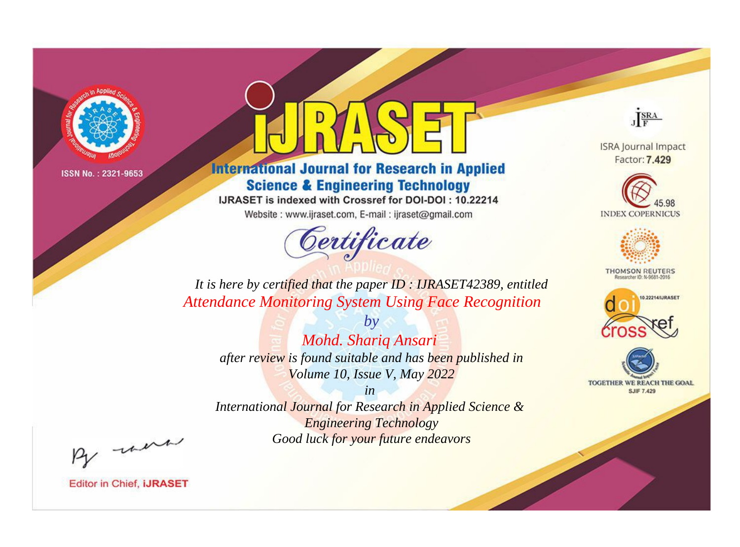

# **International Journal for Research in Applied Science & Engineering Technology**

IJRASET is indexed with Crossref for DOI-DOI: 10.22214

Website: www.ijraset.com, E-mail: ijraset@gmail.com



JERA

**ISRA Journal Impact** Factor: 7.429





**THOMSON REUTERS** 



TOGETHER WE REACH THE GOAL **SJIF 7.429** 

*It is here by certified that the paper ID : IJRASET42389, entitled Attendance Monitoring System Using Face Recognition*

*by Mohd. Shariq Ansari after review is found suitable and has been published in Volume 10, Issue V, May 2022*

*in* 

*International Journal for Research in Applied Science & Engineering Technology Good luck for your future endeavors*

By morn